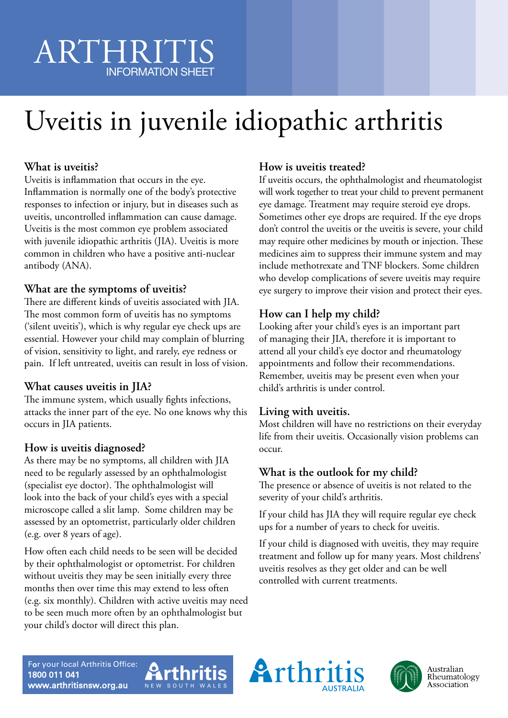# ARTHRITIS INFORMATION SHEET

# Uveitis in juvenile idiopathic arthritis

# **What is uveitis?**

Uveitis is inflammation that occurs in the eye. Inflammation is normally one of the body's protective responses to infection or injury, but in diseases such as uveitis, uncontrolled inflammation can cause damage. Uveitis is the most common eye problem associated with juvenile idiopathic arthritis (JIA). Uveitis is more common in children who have a positive anti-nuclear antibody (ANA).

# **What are the symptoms of uveitis?**

There are different kinds of uveitis associated with JIA. The most common form of uveitis has no symptoms ('silent uveitis'), which is why regular eye check ups are essential. However your child may complain of blurring of vision, sensitivity to light, and rarely, eye redness or pain. If left untreated, uveitis can result in loss of vision.

# **What causes uveitis in JIA?**

The immune system, which usually fights infections, attacks the inner part of the eye. No one knows why this occurs in JIA patients.

# **How is uveitis diagnosed?**

As there may be no symptoms, all children with JIA need to be regularly assessed by an ophthalmologist (specialist eye doctor). The ophthalmologist will look into the back of your child's eyes with a special microscope called a slit lamp. Some children may be assessed by an optometrist, particularly older children (e.g. over 8 years of age).

How often each child needs to be seen will be decided by their ophthalmologist or optometrist. For children without uveitis they may be seen initially every three months then over time this may extend to less often (e.g. six monthly). Children with active uveitis may need to be seen much more often by an ophthalmologist but your child's doctor will direct this plan.

# **How is uveitis treated?**

If uveitis occurs, the ophthalmologist and rheumatologist will work together to treat your child to prevent permanent eye damage. Treatment may require steroid eye drops. Sometimes other eye drops are required. If the eye drops don't control the uveitis or the uveitis is severe, your child may require other medicines by mouth or injection. These medicines aim to suppress their immune system and may include methotrexate and TNF blockers. Some children who develop complications of severe uveitis may require eye surgery to improve their vision and protect their eyes.

# **How can I help my child?**

Looking after your child's eyes is an important part of managing their JIA, therefore it is important to attend all your child's eye doctor and rheumatology appointments and follow their recommendations. Remember, uveitis may be present even when your child's arthritis is under control.

# **Living with uveitis.**

Most children will have no restrictions on their everyday life from their uveitis. Occasionally vision problems can occur.

# **What is the outlook for my child?**

The presence or absence of uveitis is not related to the severity of your child's arthritis.

If your child has JIA they will require regular eye check ups for a number of years to check for uveitis.

If your child is diagnosed with uveitis, they may require treatment and follow up for many years. Most childrens' uveitis resolves as they get older and can be well controlled with current treatments.